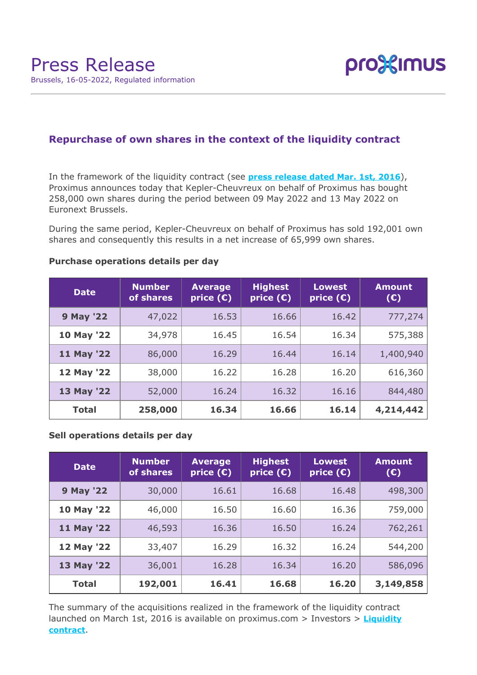

# **Repurchase of own shares in the context of the liquidity contract**

In the framework of the liquidity contract (see **[press release dated Mar. 1st, 2016](https://www.proximus.com/news/2016/proximus-enters-liquidity-contract.html)**), Proximus announces today that Kepler-Cheuvreux on behalf of Proximus has bought 258,000 own shares during the period between 09 May 2022 and 13 May 2022 on Euronext Brussels.

During the same period, Kepler-Cheuvreux on behalf of Proximus has sold 192,001 own shares and consequently this results in a net increase of 65,999 own shares.

| <b>Date</b>      | <b>Number</b><br>of shares | <b>Average</b><br>price $(\epsilon)$ | <b>Highest</b><br>price $(E)$ | <b>Lowest</b><br>price $(E)$ | <b>Amount</b><br>(E) |
|------------------|----------------------------|--------------------------------------|-------------------------------|------------------------------|----------------------|
| <b>9 May '22</b> | 47,022                     | 16.53                                | 16.66                         | 16.42                        | 777,274              |
| 10 May '22       | 34,978                     | 16.45                                | 16.54                         | 16.34                        | 575,388              |
| 11 May '22       | 86,000                     | 16.29                                | 16.44                         | 16.14                        | 1,400,940            |
| 12 May '22       | 38,000                     | 16.22                                | 16.28                         | 16.20                        | 616,360              |
| 13 May '22       | 52,000                     | 16.24                                | 16.32                         | 16.16                        | 844,480              |
| <b>Total</b>     | 258,000                    | 16.34                                | 16.66                         | 16.14                        | 4,214,442            |

### **Purchase operations details per day**

## **Sell operations details per day**

| <b>Date</b>      | <b>Number</b><br>of shares | <b>Average</b><br>price $(E)$ | <b>Highest</b><br>price $(E)$ | <b>Lowest</b><br>price $(\epsilon)$ | <b>Amount</b><br>(E) |
|------------------|----------------------------|-------------------------------|-------------------------------|-------------------------------------|----------------------|
| <b>9 May '22</b> | 30,000                     | 16.61                         | 16.68                         | 16.48                               | 498,300              |
| 10 May '22       | 46,000                     | 16.50                         | 16.60                         | 16.36                               | 759,000              |
| 11 May '22       | 46,593                     | 16.36                         | 16.50                         | 16.24                               | 762,261              |
| 12 May '22       | 33,407                     | 16.29                         | 16.32                         | 16.24                               | 544,200              |
| 13 May '22       | 36,001                     | 16.28                         | 16.34                         | 16.20                               | 586,096              |
| <b>Total</b>     | 192,001                    | 16.41                         | 16.68                         | 16.20                               | 3,149,858            |

The summary of the acquisitions realized in the framework of the liquidity contract launched on March 1st, 2016 is available on proximus.com > Investors > **[Liquidity](https://www.proximus.com/en/investors/liquidity-contract.html) [contract](https://www.proximus.com/en/investors/liquidity-contract.html)**.